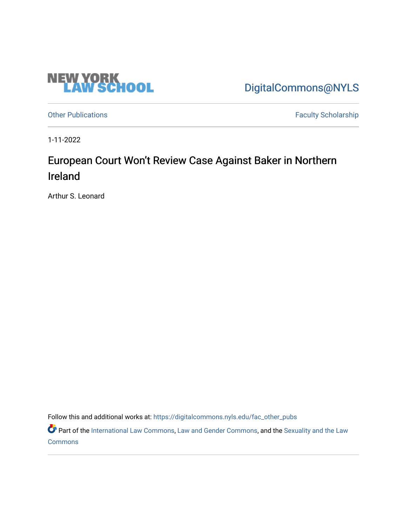

[DigitalCommons@NYLS](https://digitalcommons.nyls.edu/) 

[Other Publications](https://digitalcommons.nyls.edu/fac_other_pubs) **Faculty Scholarship Faculty Scholarship** 

1-11-2022

## European Court Won't Review Case Against Baker in Northern Ireland

Arthur S. Leonard

Follow this and additional works at: [https://digitalcommons.nyls.edu/fac\\_other\\_pubs](https://digitalcommons.nyls.edu/fac_other_pubs?utm_source=digitalcommons.nyls.edu%2Ffac_other_pubs%2F792&utm_medium=PDF&utm_campaign=PDFCoverPages)

Part of the [International Law Commons,](http://network.bepress.com/hgg/discipline/609?utm_source=digitalcommons.nyls.edu%2Ffac_other_pubs%2F792&utm_medium=PDF&utm_campaign=PDFCoverPages) [Law and Gender Commons](http://network.bepress.com/hgg/discipline/1298?utm_source=digitalcommons.nyls.edu%2Ffac_other_pubs%2F792&utm_medium=PDF&utm_campaign=PDFCoverPages), and the Sexuality and the Law **[Commons](http://network.bepress.com/hgg/discipline/877?utm_source=digitalcommons.nyls.edu%2Ffac_other_pubs%2F792&utm_medium=PDF&utm_campaign=PDFCoverPages)**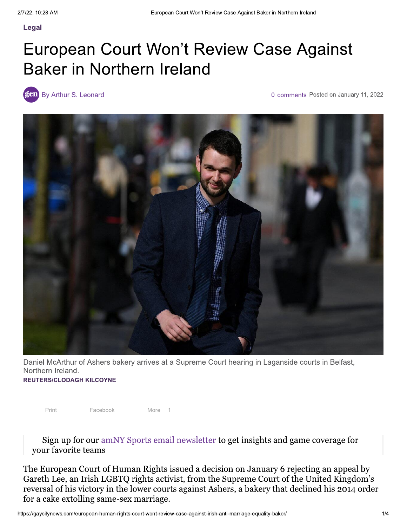## European Court Won't Review Case Against **Baker in Northern Ireland**

gen By Arthur S. Leonard

0 comments Posted on January 11, 2022



Daniel McArthur of Ashers bakery arrives at a Supreme Court hearing in Laganside courts in Belfast, Northern Ireland.

**REUTERS/CLODAGH KILCOYNE** 

Facebook

Print

More

 $\overline{1}$ 

Sign up for our amNY Sports email newsletter to get insights and game coverage for your favorite teams

The European Court of Human Rights issued a decision on January 6 rejecting an appeal by Gareth Lee, an Irish LGBTQ rights activist, from the Supreme Court of the United Kingdom's reversal of his victory in the lower courts against Ashers, a bakery that declined his 2014 order for a cake extolling same-sex marriage.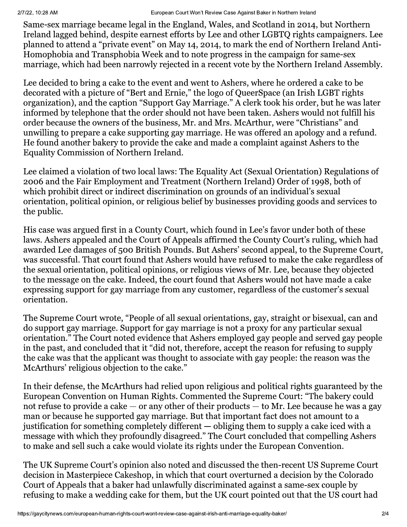## European Court Won't Review Case Against Baker in Northern Ireland

Same-sex marriage became legal in the England, Wales, and Scotland in 2014, but Northern Ireland lagged behind, despite earnest efforts by Lee and other LGBTQ rights campaigners. Lee planned to attend a "private event" on May 14, 2014, to mark the end of Northern Ireland Anti-Homophobia and Transphobia Week and to note progress in the campaign for same-sex marriage, which had been narrowly rejected in a recent vote by the Northern Ireland Assembly.

Lee decided to bring a cake to the event and went to Ashers, where he ordered a cake to be decorated with a picture of "Bert and Ernie," the logo of QueerSpace (an Irish LGBT rights organization), and the caption "Support Gay Marriage." A clerk took his order, but he was later informed by telephone that the order should not have been taken. Ashers would not fulfill his order because the owners of the business, Mr. and Mrs. McArthur, were "Christians" and unwilling to prepare a cake supporting gay marriage. He was offered an apology and a refund. He found another bakery to provide the cake and made a complaint against Ashers to the Equality Commission of Northern Ireland.

Lee claimed a violation of two local laws: The Equality Act (Sexual Orientation) Regulations of 2006 and the Fair Employment and Treatment (Northern Ireland) Order of 1998, both of which prohibit direct or indirect discrimination on grounds of an individual's sexual orientation, political opinion, or religious belief by businesses providing goods and services to the public.

His case was argued first in a County Court, which found in Lee's favor under both of these laws. Ashers appealed and the Court of Appeals affirmed the County Court's ruling, which had awarded Lee damages of 500 British Pounds. But Ashers' second appeal, to the Supreme Court, was successful. That court found that Ashers would have refused to make the cake regardless of the sexual orientation, political opinions, or religious views of Mr. Lee, because they objected to the message on the cake. Indeed, the court found that Ashers would not have made a cake expressing support for gay marriage from any customer, regardless of the customer's sexual orientation.

The Supreme Court wrote, "People of all sexual orientations, gay, straight or bisexual, can and do support gay marriage. Support for gay marriage is not a proxy for any particular sexual orientation." The Court noted evidence that Ashers employed gay people and served gay people in the past, and concluded that it "did not, therefore, accept the reason for refusing to supply the cake was that the applicant was thought to associate with gay people: the reason was the McArthurs' religious objection to the cake."

In their defense, the McArthurs had relied upon religious and political rights guaranteed by the European Convention on Human Rights. Commented the Supreme Court: "The bakery could not refuse to provide a cake  $-$  or any other of their products  $-$  to Mr. Lee because he was a gay man or because he supported gay marriage. But that important fact does not amount to a justification for something completely different — obliging them to supply a cake iced with a message with which they profoundly disagreed." The Court concluded that compelling Ashers to make and sell such a cake would violate its rights under the European Convention.

The UK Supreme Court's opinion also noted and discussed the then-recent US Supreme Court decision in Masterpiece Cakeshop, in which that court overturned a decision by the Colorado Court of Appeals that a baker had unlawfully discriminated against a same-sex couple by refusing to make a wedding cake for them, but the UK court pointed out that the US court had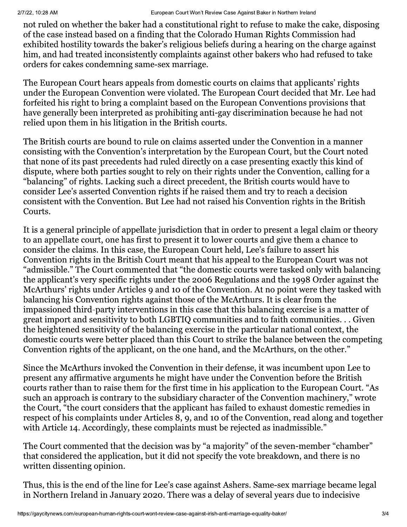not ruled on whether the baker had a constitutional right to refuse to make the cake, disposing of the case instead based on a finding that the Colorado Human Rights Commission had exhibited hostility towards the baker's religious beliefs during a hearing on the charge against him, and had treated inconsistently complaints against other bakers who had refused to take orders for cakes condemning same-sex marriage.

The European Court hears appeals from domestic courts on claims that applicants' rights under the European Convention were violated. The European Court decided that Mr. Lee had forfeited his right to bring a complaint based on the European Conventions provisions that have generally been interpreted as prohibiting anti-gay discrimination because he had not relied upon them in his litigation in the British courts.

The British courts are bound to rule on claims asserted under the Convention in a manner consisting with the Convention's interpretation by the European Court, but the Court noted that none of its past precedents had ruled directly on a case presenting exactly this kind of dispute, where both parties sought to rely on their rights under the Convention, calling for a "balancing" of rights. Lacking such a direct precedent, the British courts would have to consider Lee's asserted Convention rights if he raised them and try to reach a decision consistent with the Convention. But Lee had not raised his Convention rights in the British Courts.

It is a general principle of appellate jurisdiction that in order to present a legal claim or theory to an appellate court, one has first to present it to lower courts and give them a chance to consider the claims. In this case, the European Court held, Lee's failure to assert his Convention rights in the British Court meant that his appeal to the European Court was not "admissible." The Court commented that "the domestic courts were tasked only with balancing the applicant's very specific rights under the 2006 Regulations and the 1998 Order against the McArthurs' rights under Articles 9 and 10 of the Convention. At no point were they tasked with balancing his Convention rights against those of the McArthurs. It is clear from the impassioned third-party interventions in this case that this balancing exercise is a matter of great import and sensitivity to both LGBTIQ communities and to faith communities... Given the heightened sensitivity of the balancing exercise in the particular national context, the domestic courts were better placed than this Court to strike the balance between the competing Convention rights of the applicant, on the one hand, and the McArthurs, on the other."

Since the McArthurs invoked the Convention in their defense, it was incumbent upon Lee to present any affirmative arguments he might have under the Convention before the British courts rather than to raise them for the first time in his application to the European Court. "As such an approach is contrary to the subsidiary character of the Convention machinery," wrote the Court, "the court considers that the applicant has failed to exhaust domestic remedies in respect of his complaints under Articles 8, 9, and 10 of the Convention, read along and together with Article 14. Accordingly, these complaints must be rejected as inadmissible."

The Court commented that the decision was by "a majority" of the seven-member "chamber" that considered the application, but it did not specify the vote breakdown, and there is no written dissenting opinion.

Thus, this is the end of the line for Lee's case against Ashers. Same-sex marriage became legal in Northern Ireland in January 2020. There was a delay of several years due to indecisive